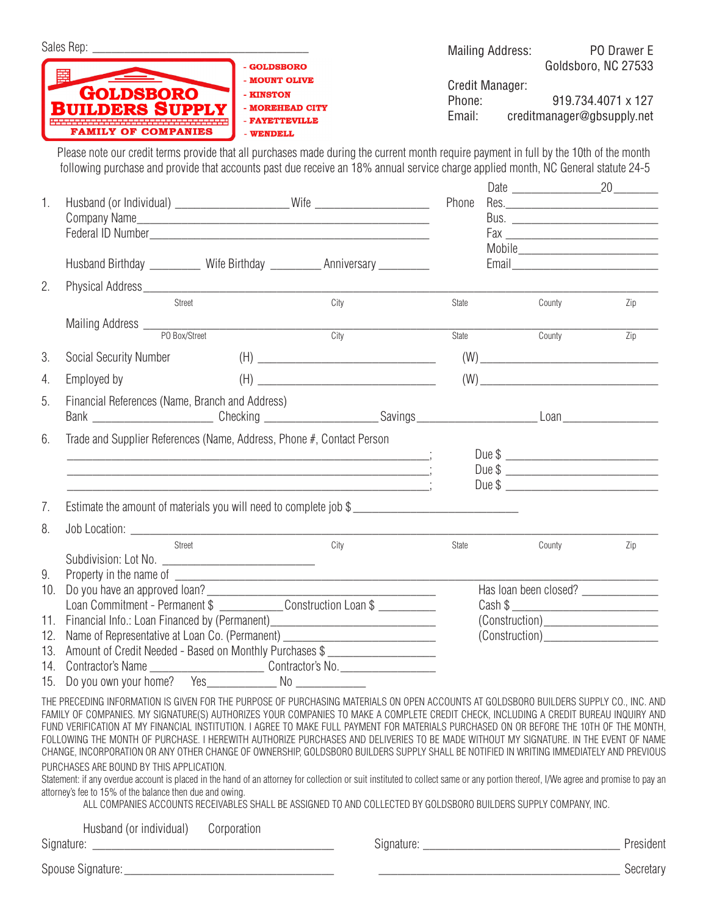|    |                                                                                                                                                                                                                                                                                                                                                                                                                                                                                                                                                                                                                                                                                                               |                                                                                                                                                                                                                                                                                                                                              |             |                | <b>Mailing Address:</b> |        | PO Drawer E                                                                                                                                                                                                                                                                                                                                                                     |  |
|----|---------------------------------------------------------------------------------------------------------------------------------------------------------------------------------------------------------------------------------------------------------------------------------------------------------------------------------------------------------------------------------------------------------------------------------------------------------------------------------------------------------------------------------------------------------------------------------------------------------------------------------------------------------------------------------------------------------------|----------------------------------------------------------------------------------------------------------------------------------------------------------------------------------------------------------------------------------------------------------------------------------------------------------------------------------------------|-------------|----------------|-------------------------|--------|---------------------------------------------------------------------------------------------------------------------------------------------------------------------------------------------------------------------------------------------------------------------------------------------------------------------------------------------------------------------------------|--|
|    | <b>GOLDSBORO</b>                                                                                                                                                                                                                                                                                                                                                                                                                                                                                                                                                                                                                                                                                              | - GOLDSBORO<br>- MOUNT OLIVE<br>- KINSTON                                                                                                                                                                                                                                                                                                    |             |                | Credit Manager:         |        | Goldsboro, NC 27533                                                                                                                                                                                                                                                                                                                                                             |  |
|    | <b>BUILDERS SUPPLY</b><br><b>FAMILY OF COMPANIES</b>                                                                                                                                                                                                                                                                                                                                                                                                                                                                                                                                                                                                                                                          | - MOREHEAD CITY<br>- FAYETTEVILLE<br>- WENDELL                                                                                                                                                                                                                                                                                               |             | Email:         | Phone:                  |        | 919.734.4071 x 127<br>creditmanager@gbsupply.net                                                                                                                                                                                                                                                                                                                                |  |
|    | Please note our credit terms provide that all purchases made during the current month require payment in full by the 10th of the month<br>following purchase and provide that accounts past due receive an 18% annual service charge applied month, NC General statute 24-5                                                                                                                                                                                                                                                                                                                                                                                                                                   |                                                                                                                                                                                                                                                                                                                                              |             |                |                         |        |                                                                                                                                                                                                                                                                                                                                                                                 |  |
| 1. | Husband (or Individual) _______________________Wife ____________________________                                                                                                                                                                                                                                                                                                                                                                                                                                                                                                                                                                                                                              |                                                                                                                                                                                                                                                                                                                                              |             | Phone          |                         |        | Date 20                                                                                                                                                                                                                                                                                                                                                                         |  |
|    | Husband Birthday __________ Wife Birthday ___________ Anniversary _________                                                                                                                                                                                                                                                                                                                                                                                                                                                                                                                                                                                                                                   |                                                                                                                                                                                                                                                                                                                                              |             |                |                         |        | Mobile_____________________________                                                                                                                                                                                                                                                                                                                                             |  |
| 2. |                                                                                                                                                                                                                                                                                                                                                                                                                                                                                                                                                                                                                                                                                                               |                                                                                                                                                                                                                                                                                                                                              |             |                |                         |        |                                                                                                                                                                                                                                                                                                                                                                                 |  |
|    | Street                                                                                                                                                                                                                                                                                                                                                                                                                                                                                                                                                                                                                                                                                                        | City                                                                                                                                                                                                                                                                                                                                         |             | State          |                         | County | Zip                                                                                                                                                                                                                                                                                                                                                                             |  |
|    |                                                                                                                                                                                                                                                                                                                                                                                                                                                                                                                                                                                                                                                                                                               |                                                                                                                                                                                                                                                                                                                                              | <b>City</b> | State          |                         | County | Zip                                                                                                                                                                                                                                                                                                                                                                             |  |
| 3. | Social Security Number                                                                                                                                                                                                                                                                                                                                                                                                                                                                                                                                                                                                                                                                                        | $\begin{picture}(150,10) \put(0,0){\line(1,0){100}} \put(15,0){\line(1,0){100}} \put(15,0){\line(1,0){100}} \put(15,0){\line(1,0){100}} \put(15,0){\line(1,0){100}} \put(15,0){\line(1,0){100}} \put(15,0){\line(1,0){100}} \put(15,0){\line(1,0){100}} \put(15,0){\line(1,0){100}} \put(15,0){\line(1,0){100}} \put(15,0){\line(1,0){100}}$ |             |                |                         |        | $\left(\mathsf{W}\right) \begin{picture}(10,10) \put(0,0){\dashbox{0.5}(10,0){ }} \put(15,0){\dashbox{0.5}(10,0){ }} \put(15,0){\dashbox{0.5}(10,0){ }} \put(15,0){\dashbox{0.5}(10,0){ }} \put(15,0){\dashbox{0.5}(10,0){ }} \put(15,0){\dashbox{0.5}(10,0){ }} \put(15,0){\dashbox{0.5}(10,0){ }} \put(15,0){\dashbox{0.5}(10,0){ }} \put(15,0){\dashbox{0.5}(10,0){ }} \put$ |  |
| 4. | Employed by                                                                                                                                                                                                                                                                                                                                                                                                                                                                                                                                                                                                                                                                                                   |                                                                                                                                                                                                                                                                                                                                              |             |                |                         |        | $(W) \label{eq:W}$                                                                                                                                                                                                                                                                                                                                                              |  |
| 5. | Financial References (Name, Branch and Address)<br>Bank __________________________Checking ______________________Savings ___________________________Loan _______________                                                                                                                                                                                                                                                                                                                                                                                                                                                                                                                                      |                                                                                                                                                                                                                                                                                                                                              |             |                |                         |        |                                                                                                                                                                                                                                                                                                                                                                                 |  |
| 6. | Trade and Supplier References (Name, Address, Phone #, Contact Person                                                                                                                                                                                                                                                                                                                                                                                                                                                                                                                                                                                                                                         |                                                                                                                                                                                                                                                                                                                                              |             |                |                         |        |                                                                                                                                                                                                                                                                                                                                                                                 |  |
|    | $\overline{a}$ , and the contract of the contract of the contract of the contract of the contract of $\overline{a}$                                                                                                                                                                                                                                                                                                                                                                                                                                                                                                                                                                                           |                                                                                                                                                                                                                                                                                                                                              |             |                |                         |        | Due \$<br>Due \$                                                                                                                                                                                                                                                                                                                                                                |  |
| 7. | Estimate the amount of materials you will need to complete job \$                                                                                                                                                                                                                                                                                                                                                                                                                                                                                                                                                                                                                                             |                                                                                                                                                                                                                                                                                                                                              |             |                |                         |        |                                                                                                                                                                                                                                                                                                                                                                                 |  |
| 8. |                                                                                                                                                                                                                                                                                                                                                                                                                                                                                                                                                                                                                                                                                                               |                                                                                                                                                                                                                                                                                                                                              |             |                |                         |        |                                                                                                                                                                                                                                                                                                                                                                                 |  |
| 9. | Street                                                                                                                                                                                                                                                                                                                                                                                                                                                                                                                                                                                                                                                                                                        | City                                                                                                                                                                                                                                                                                                                                         |             | State          |                         | County | Zip                                                                                                                                                                                                                                                                                                                                                                             |  |
|    | 10. Do you have an approved loan?<br>Loan Commitment - Permanent \$ _______________Construction Loan \$                                                                                                                                                                                                                                                                                                                                                                                                                                                                                                                                                                                                       |                                                                                                                                                                                                                                                                                                                                              |             |                |                         |        | Has loan been closed? _______________                                                                                                                                                                                                                                                                                                                                           |  |
|    |                                                                                                                                                                                                                                                                                                                                                                                                                                                                                                                                                                                                                                                                                                               |                                                                                                                                                                                                                                                                                                                                              |             |                |                         |        | $\text{Cash }$ \$                                                                                                                                                                                                                                                                                                                                                               |  |
|    | 11. Financial Info.: Loan Financed by (Permanent)_______________________________                                                                                                                                                                                                                                                                                                                                                                                                                                                                                                                                                                                                                              |                                                                                                                                                                                                                                                                                                                                              |             | (Construction) |                         |        |                                                                                                                                                                                                                                                                                                                                                                                 |  |
|    | 12. Name of Representative at Loan Co. (Permanent) _____________________________<br>13. Amount of Credit Needed - Based on Monthly Purchases \$ _____________________                                                                                                                                                                                                                                                                                                                                                                                                                                                                                                                                         |                                                                                                                                                                                                                                                                                                                                              |             |                |                         |        |                                                                                                                                                                                                                                                                                                                                                                                 |  |
|    |                                                                                                                                                                                                                                                                                                                                                                                                                                                                                                                                                                                                                                                                                                               |                                                                                                                                                                                                                                                                                                                                              |             |                |                         |        |                                                                                                                                                                                                                                                                                                                                                                                 |  |
|    |                                                                                                                                                                                                                                                                                                                                                                                                                                                                                                                                                                                                                                                                                                               |                                                                                                                                                                                                                                                                                                                                              |             |                |                         |        |                                                                                                                                                                                                                                                                                                                                                                                 |  |
|    | THE PRECEDING INFORMATION IS GIVEN FOR THE PURPOSE OF PURCHASING MATERIALS ON OPEN ACCOUNTS AT GOLDSBORO BUILDERS SUPPLY CO., INC. AND<br>FAMILY OF COMPANIES. MY SIGNATURE(S) AUTHORIZES YOUR COMPANIES TO MAKE A COMPLETE CREDIT CHECK, INCLUDING A CREDIT BUREAU INQUIRY AND<br>FUND VERIFICATION AT MY FINANCIAL INSTITUTION. I AGREE TO MAKE FULL PAYMENT FOR MATERIALS PURCHASED ON OR BEFORE THE 10TH OF THE MONTH,<br>FOLLOWING THE MONTH OF PURCHASE. I HEREWITH AUTHORIZE PURCHASES AND DELIVERIES TO BE MADE WITHOUT MY SIGNATURE. IN THE EVENT OF NAME<br>CHANGE, INCORPORATION OR ANY OTHER CHANGE OF OWNERSHIP, GOLDSBORO BUILDERS SUPPLY SHALL BE NOTIFIED IN WRITING IMMEDIATELY AND PREVIOUS |                                                                                                                                                                                                                                                                                                                                              |             |                |                         |        |                                                                                                                                                                                                                                                                                                                                                                                 |  |
|    | PURCHASES ARE BOUND BY THIS APPLICATION.<br>Statement: if any overdue account is placed in the hand of an attorney for collection or suit instituted to collect same or any portion thereof, I/We agree and promise to pay an<br>attorney's fee to 15% of the balance then due and owing.<br>ALL COMPANIES ACCOUNTS RECEIVABLES SHALL BE ASSIGNED TO AND COLLECTED BY GOLDSBORO BUILDERS SUPPLY COMPANY, INC.                                                                                                                                                                                                                                                                                                 |                                                                                                                                                                                                                                                                                                                                              |             |                |                         |        |                                                                                                                                                                                                                                                                                                                                                                                 |  |
|    | Husband (or individual)                                                                                                                                                                                                                                                                                                                                                                                                                                                                                                                                                                                                                                                                                       | Corporation                                                                                                                                                                                                                                                                                                                                  |             |                |                         |        |                                                                                                                                                                                                                                                                                                                                                                                 |  |
|    |                                                                                                                                                                                                                                                                                                                                                                                                                                                                                                                                                                                                                                                                                                               |                                                                                                                                                                                                                                                                                                                                              |             |                |                         |        |                                                                                                                                                                                                                                                                                                                                                                                 |  |
|    |                                                                                                                                                                                                                                                                                                                                                                                                                                                                                                                                                                                                                                                                                                               |                                                                                                                                                                                                                                                                                                                                              |             |                |                         |        | Secretary                                                                                                                                                                                                                                                                                                                                                                       |  |

|  | Secretarv |  |
|--|-----------|--|
|  |           |  |